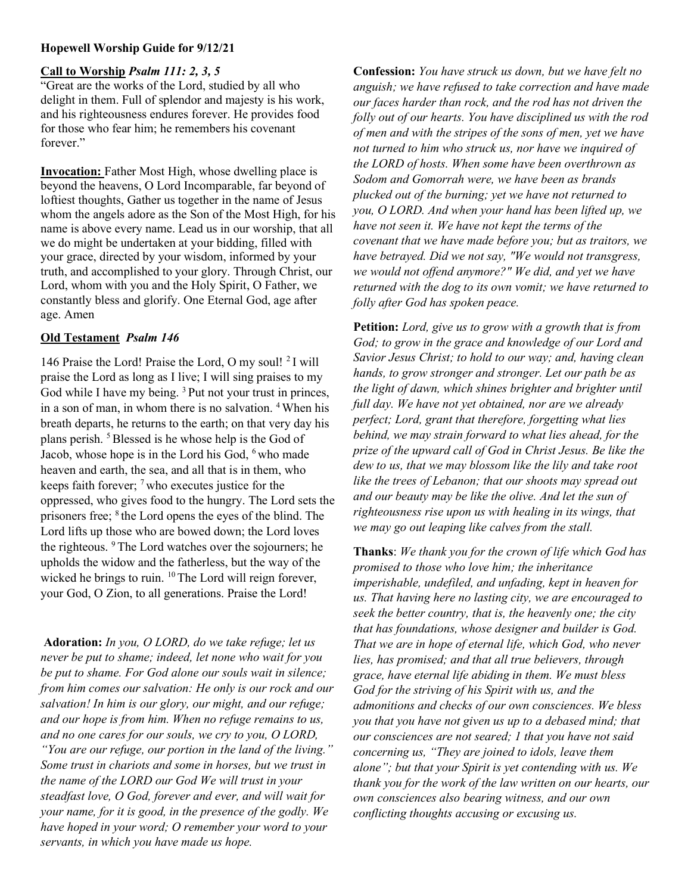# Hopewell Worship Guide for 9/12/21

#### Call to Worship Psalm 111: 2, 3, 5

"Great are the works of the Lord, studied by all who delight in them. Full of splendor and majesty is his work, and his righteousness endures forever. He provides food for those who fear him; he remembers his covenant forever."

Invocation: Father Most High, whose dwelling place is beyond the heavens, O Lord Incomparable, far beyond of loftiest thoughts, Gather us together in the name of Jesus whom the angels adore as the Son of the Most High, for his name is above every name. Lead us in our worship, that all we do might be undertaken at your bidding, filled with your grace, directed by your wisdom, informed by your truth, and accomplished to your glory. Through Christ, our Lord, whom with you and the Holy Spirit, O Father, we constantly bless and glorify. One Eternal God, age after age. Amen

#### Old Testament Psalm 146

146 Praise the Lord! Praise the Lord, O my soul!  $2I$  will praise the Lord as long as I live; I will sing praises to my God while I have my being.<sup>3</sup> Put not your trust in princes, in a son of man, in whom there is no salvation. <sup>4</sup>When his breath departs, he returns to the earth; on that very day his plans perish. <sup>5</sup>Blessed is he whose help is the God of Jacob, whose hope is in the Lord his God, <sup>6</sup> who made heaven and earth, the sea, and all that is in them, who keeps faith forever;  $\frac{7}{1}$  who executes justice for the oppressed, who gives food to the hungry. The Lord sets the prisoners free; <sup>8</sup> the Lord opens the eyes of the blind. The Lord lifts up those who are bowed down; the Lord loves the righteous. <sup>9</sup>The Lord watches over the sojourners; he upholds the widow and the fatherless, but the way of the wicked he brings to ruin. <sup>10</sup>The Lord will reign forever, your God, O Zion, to all generations. Praise the Lord!

Adoration: In you, O LORD, do we take refuge; let us never be put to shame; indeed, let none who wait for you be put to shame. For God alone our souls wait in silence; from him comes our salvation: He only is our rock and our salvation! In him is our glory, our might, and our refuge; and our hope is from him. When no refuge remains to us, and no one cares for our souls, we cry to you, O LORD, "You are our refuge, our portion in the land of the living." Some trust in chariots and some in horses, but we trust in the name of the LORD our God We will trust in your steadfast love, O God, forever and ever, and will wait for your name, for it is good, in the presence of the godly. We have hoped in your word; O remember your word to your servants, in which you have made us hope.

Confession: You have struck us down, but we have felt no anguish; we have refused to take correction and have made our faces harder than rock, and the rod has not driven the folly out of our hearts. You have disciplined us with the rod of men and with the stripes of the sons of men, yet we have not turned to him who struck us, nor have we inquired of the LORD of hosts. When some have been overthrown as Sodom and Gomorrah were, we have been as brands plucked out of the burning; yet we have not returned to you, O LORD. And when your hand has been lifted up, we have not seen it. We have not kept the terms of the covenant that we have made before you; but as traitors, we have betrayed. Did we not say, "We would not transgress, we would not offend anymore?" We did, and yet we have returned with the dog to its own vomit; we have returned to folly after God has spoken peace.

Petition: Lord, give us to grow with a growth that is from God; to grow in the grace and knowledge of our Lord and Savior Jesus Christ; to hold to our way; and, having clean hands, to grow stronger and stronger. Let our path be as the light of dawn, which shines brighter and brighter until full day. We have not yet obtained, nor are we already perfect; Lord, grant that therefore, forgetting what lies behind, we may strain forward to what lies ahead, for the prize of the upward call of God in Christ Jesus. Be like the dew to us, that we may blossom like the lily and take root like the trees of Lebanon; that our shoots may spread out and our beauty may be like the olive. And let the sun of righteousness rise upon us with healing in its wings, that we may go out leaping like calves from the stall.

Thanks: We thank you for the crown of life which God has promised to those who love him; the inheritance imperishable, undefiled, and unfading, kept in heaven for us. That having here no lasting city, we are encouraged to seek the better country, that is, the heavenly one; the city that has foundations, whose designer and builder is God. That we are in hope of eternal life, which God, who never lies, has promised; and that all true believers, through grace, have eternal life abiding in them. We must bless God for the striving of his Spirit with us, and the admonitions and checks of our own consciences. We bless you that you have not given us up to a debased mind; that our consciences are not seared; 1 that you have not said concerning us, "They are joined to idols, leave them alone"; but that your Spirit is yet contending with us. We thank you for the work of the law written on our hearts, our own consciences also bearing witness, and our own conflicting thoughts accusing or excusing us.